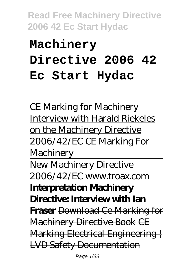# **Machinery Directive 2006 42 Ec Start Hydac**

CE Marking for Machinery Interview with Harald Riekeles on the Machinery Directive 2006/42/EC *CE Marking For Machinery* New Machinery Directive 2006/42/EC www.troax.com **Interpretation Machinery Directive: Interview with Ian Fraser** Download Ce Marking for Machinery Directive Book CE Marking Electrical Engineering LVD Safety Documentation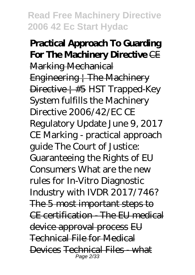## **Practical Approach To Guarding For The Machinery Directive** CE Marking Mechanical Engineering  $\frac{1}{1}$  The Machinery Directive | #5 *HST Trapped-Key System fulfills the Machinery Directive 2006/42/EC CE Regulatory Update June 9, 2017* CE Marking - practical approach guide The Court of Justice: Guaranteeing the Rights of EU Consumers *What are the new rules for In-Vitro Diagnostic Industry with IVDR 2017/746?* The 5 most important steps to CE certification - The EU medical device approval process EU Technical File for Medical Devices Technical Files - what Page 2/33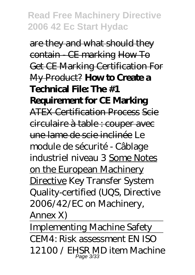are they and what should they contain - CE marking How To Get CE Marking Certification For My Product? **How to Create a Technical File: The #1 Requirement for CE Marking** ATEX Certification Process Scie circulaire à table : couper avec une lame de scie inclinée *Le module de sécurité - Câblage industriel niveau 3* Some Notes on the European Machinery Directive *Key Transfer System Quality-certified (UQS, Directive 2006/42/EC on Machinery, Annex X)*

Implementing Machine Safety CEM4: Risk assessment EN ISO 12100 / EHSR MD item Machine Page 3/33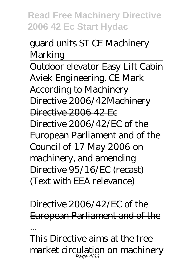# guard units ST CE Machinery Marking

Outdoor elevator Easy Lift Cabin Aviek Engineering. CE Mark According to Machinery Directive 2006/42Machinery Directive 2006 42 Fc Directive 2006/42/EC of the European Parliament and of the Council of 17 May 2006 on machinery, and amending Directive 95/16/EC (recast) (Text with EEA relevance)

Directive 2006/42/EC of the European Parliament and of the ... This Directive aims at the free

market circulation on machinery Page 4/33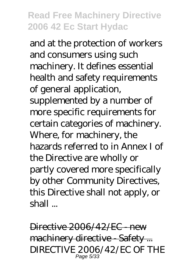and at the protection of workers and consumers using such machinery. It defines essential health and safety requirements of general application, supplemented by a number of more specific requirements for certain categories of machinery. Where, for machinery, the hazards referred to in Annex I of the Directive are wholly or partly covered more specifically by other Community Directives, this Directive shall not apply, or shall ...

Directive 2006/42/EC - new machinery directive - Safety ... DIRECTIVE 2006/42/EC OF THE Page 5/33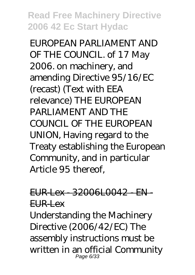EUROPEAN PARLIAMENT AND OF THE COUNCIL. of 17 May 2006. on machinery, and amending Directive 95/16/EC (recast) (Text with EEA relevance) THE EUROPEAN PARLIAMENT AND THE COUNCIL OF THE EUROPEAN UNION, Having regard to the Treaty establishing the European Community, and in particular Article 95 thereof,

# EUR-Lex - 32006L0042 - EN - EUR-Lex

Understanding the Machinery Directive (2006/42/EC) The assembly instructions must be written in an official Community Page 6/33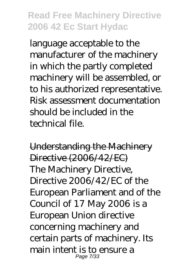language acceptable to the manufacturer of the machinery in which the partly completed machinery will be assembled, or to his authorized representative. Risk assessment documentation should be included in the technical file.

Understanding the Machinery Directive (2006/42/EC) The Machinery Directive, Directive 2006/42/EC of the European Parliament and of the Council of 17 May 2006 is a European Union directive concerning machinery and certain parts of machinery. Its main intent is to ensure a Page 7/33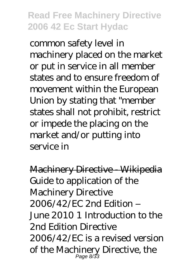common safety level in machinery placed on the market or put in service in all member states and to ensure freedom of movement within the European Union by stating that "member states shall not prohibit, restrict or impede the placing on the market and/or putting into service in

Machinery Directive - Wikipedia Guide to application of the Machinery Directive 2006/42/EC 2nd Edition – June 2010 1 Introduction to the 2nd Edition Directive 2006/42/EC is a revised version of the Machinery Directive, the Page 8/33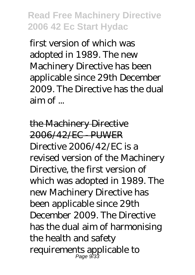first version of which was adopted in 1989. The new Machinery Directive has been applicable since 29th December 2009. The Directive has the dual aim of ...

the Machinery Directive 2006/42/EC - PUWER Directive 2006/42/EC is a revised version of the Machinery Directive, the first version of which was adopted in 1989. The new Machinery Directive has been applicable since 29th December 2009. The Directive has the dual aim of harmonising the health and safety requirements applicable to Page 9/33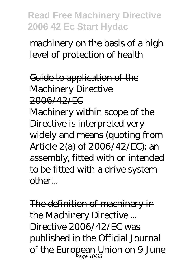machinery on the basis of a high level of protection of health

Guide to application of the **Machinery Directive** 2006/42/EC

Machinery within scope of the Directive is interpreted very widely and means (quoting from Article 2(a) of 2006/42/EC): an assembly, fitted with or intended to be fitted with a drive system other...

The definition of machinery in the Machinery Directive... Directive 2006/42/EC was published in the Official Journal of the European Union on 9 June Page 10/33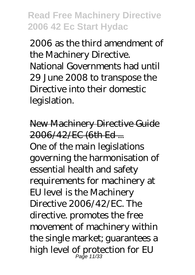2006 as the third amendment of the Machinery Directive. National Governments had until 29 June 2008 to transpose the Directive into their domestic legislation.

New Machinery Directive Guide 2006/42/EC (6th Ed ... One of the main legislations governing the harmonisation of essential health and safety requirements for machinery at EU level is the Machinery Directive 2006/42/EC. The directive. promotes the free movement of machinery within the single market; guarantees a high level of protection for EU Page 11/33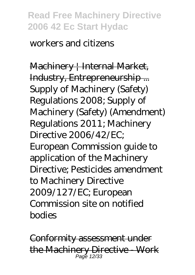#### workers and citizens

Machinery | Internal Market, Industry, Entrepreneurship ... Supply of Machinery (Safety) Regulations 2008; Supply of Machinery (Safety) (Amendment) Regulations 2011; Machinery Directive 2006/42/EC; European Commission guide to application of the Machinery Directive; Pesticides amendment to Machinery Directive 2009/127/EC; European Commission site on notified bodies

Conformity assessment under the Machinery Directive - Work Page 12/33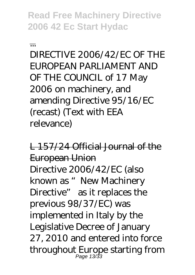...

DIRECTIVE 2006/42/EC OF THE EUROPEAN PARLIAMENT AND OF THE COUNCIL of 17 May 2006 on machinery, and amending Directive 95/16/EC (recast) (Text with EEA relevance)

L 157/24 Official Journal of the European Union Directive 2006/42/EC (also known as "New Machinery Directive" as it replaces the previous 98/37/EC) was implemented in Italy by the Legislative Decree of January 27, 2010 and entered into force throughout Europe starting from Page 13/33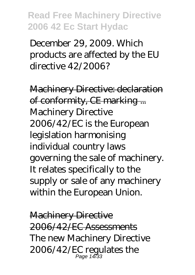December 29, 2009. Which products are affected by the EU directive 42/2006?

Machinery Directive: declaration of conformity, CE marking ... Machinery Directive 2006/42/EC is the European legislation harmonising individual country laws governing the sale of machinery. It relates specifically to the supply or sale of any machinery within the European Union.

Machinery Directive 2006/42/EC Assessments The new Machinery Directive 2006/42/EC regulates the Page 14/33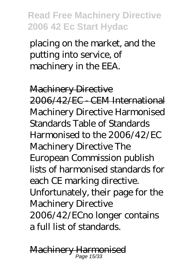placing on the market, and the putting into service, of machinery in the EEA.

Machinery Directive 2006/42/EC - CEM International Machinery Directive Harmonised Standards Table of Standards Harmonised to the 2006/42/EC Machinery Directive The European Commission publish lists of harmonised standards for each CE marking directive. Unfortunately, their page for the Machinery Directive 2006/42/ECno longer contains a full list of standards.

Machinery Harmonised Page 15/33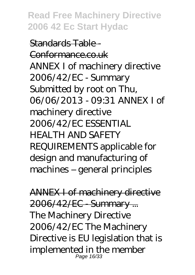Standards Table - Conformance.co.uk ANNEX I of machinery directive 2006/42/EC - Summary Submitted by root on Thu, 06/06/2013 - 09:31 ANNEX I of machinery directive 2006/42/EC ESSENTIAL HEALTH AND SAFETY REQUIREMENTS applicable for design and manufacturing of machines – general principles

ANNEX I of machinery directive 2006/42/EC - Summary ... The Machinery Directive 2006/42/EC The Machinery Directive is EU legislation that is implemented in the member Page 16/33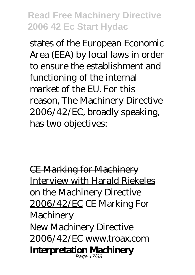states of the European Economic Area (EEA) by local laws in order to ensure the establishment and functioning of the internal market of the EU. For this reason, The Machinery Directive 2006/42/EC, broadly speaking, has two objectives:

CE Marking for Machinery Interview with Harald Riekeles on the Machinery Directive 2006/42/EC *CE Marking For Machinery* New Machinery Directive 2006/42/EC www.troax.com **Interpretation Machinery** Page 17/33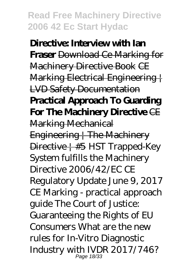**Directive: Interview with Ian Fraser** Download Ce Marking for Machinery Directive Book CE Marking Electrical Engineering | LVD Safety Documentation **Practical Approach To Guarding For The Machinery Directive** CE Marking Mechanical Engineering | The Machinery Directive | #5 *HST Trapped-Key System fulfills the Machinery Directive 2006/42/EC CE Regulatory Update June 9, 2017* CE Marking - practical approach guide The Court of Justice: Guaranteeing the Rights of EU Consumers *What are the new rules for In-Vitro Diagnostic Industry with IVDR 2017/746?* Page 18/33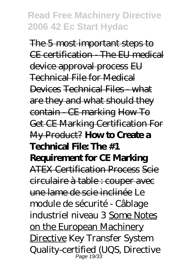The 5 most important steps to CE certification - The EU medical device approval process EU Technical File for Medical Devices Technical Files - what are they and what should they contain - CE marking How To Get CE Marking Certification For My Product? **How to Create a Technical File: The #1 Requirement for CE Marking** ATEX Certification Process Scie circulaire à table : couper avec une lame de scie inclinée *Le module de sécurité - Câblage industriel niveau 3* Some Notes on the European Machinery Directive *Key Transfer System Quality-certified (UQS, Directive* Page 19/33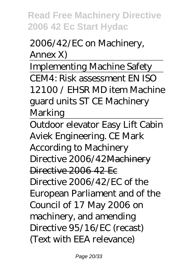## *2006/42/EC on Machinery, Annex X)*

Implementing Machine Safety CEM4: Risk assessment EN ISO 12100 / EHSR MD item Machine guard units ST CE Machinery Marking

Outdoor elevator Easy Lift Cabin Aviek Engineering. CE Mark According to Machinery Directive 2006/42Machinery Directive 2006 42 Ec Directive 2006/42/EC of the European Parliament and of the Council of 17 May 2006 on machinery, and amending Directive 95/16/EC (recast) (Text with EEA relevance)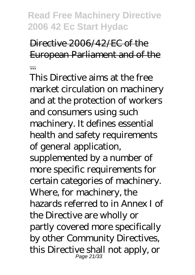# Directive 2006/42/EC of the European Parliament and of the ...

This Directive aims at the free market circulation on machinery and at the protection of workers and consumers using such machinery. It defines essential health and safety requirements of general application, supplemented by a number of more specific requirements for certain categories of machinery. Where, for machinery, the hazards referred to in Annex I of the Directive are wholly or partly covered more specifically by other Community Directives, this Directive shall not apply, or Page 21/33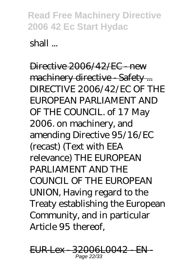shall ...

Directive 2006/42/EC - new machinery directive - Safety ... DIRECTIVE 2006/42/EC OF THE EUROPEAN PARLIAMENT AND OF THE COUNCIL. of 17 May 2006. on machinery, and amending Directive 95/16/EC (recast) (Text with EEA relevance) THE EUROPEAN PARLIAMENT AND THE COUNCIL OF THE EUROPEAN UNION, Having regard to the Treaty establishing the European Community, and in particular Article 95 thereof,

EUR-Lex - 32006L0042 - EN - Page 22/33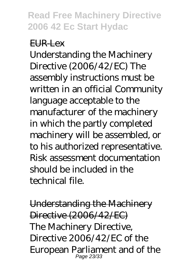#### EUR-Lex

Understanding the Machinery Directive (2006/42/EC) The assembly instructions must be written in an official Community language acceptable to the manufacturer of the machinery in which the partly completed machinery will be assembled, or to his authorized representative. Risk assessment documentation should be included in the technical file.

Understanding the Machinery Directive (2006/42/EC) The Machinery Directive, Directive 2006/42/EC of the European Parliament and of the Page 23/33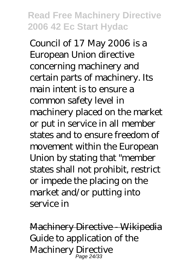Council of 17 May 2006 is a European Union directive concerning machinery and certain parts of machinery. Its main intent is to ensure a common safety level in machinery placed on the market or put in service in all member states and to ensure freedom of movement within the European Union by stating that "member states shall not prohibit, restrict or impede the placing on the market and/or putting into service in

Machinery Directive - Wikipedia Guide to application of the Machinery Directive Page 24/33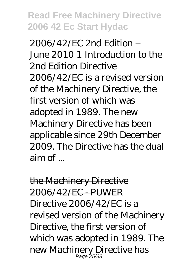2006/42/EC 2nd Edition – June 2010 1 Introduction to the 2nd Edition Directive 2006/42/EC is a revised version of the Machinery Directive, the first version of which was adopted in 1989. The new Machinery Directive has been applicable since 29th December 2009. The Directive has the dual  $\sin \alpha f$ 

the Machinery Directive 2006/42/EC - PUWER Directive 2006/42/EC is a revised version of the Machinery Directive, the first version of which was adopted in 1989. The new Machinery Directive has Page<sup>\*</sup>25/33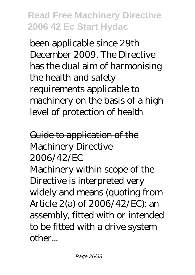been applicable since 29th December 2009. The Directive has the dual aim of harmonising the health and safety requirements applicable to machinery on the basis of a high level of protection of health

# Guide to application of the **Machinery Directive** 2006/42/EC

Machinery within scope of the Directive is interpreted very widely and means (quoting from Article 2(a) of 2006/42/EC): an assembly, fitted with or intended to be fitted with a drive system other...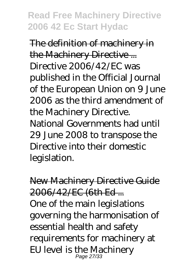The definition of machinery in the Machinery Directive ... Directive 2006/42/EC was published in the Official Journal of the European Union on 9 June 2006 as the third amendment of the Machinery Directive. National Governments had until 29 June 2008 to transpose the Directive into their domestic legislation.

New Machinery Directive Guide 2006/42/EC (6th Ed ... One of the main legislations governing the harmonisation of essential health and safety requirements for machinery at EU level is the Machinery Page 27/33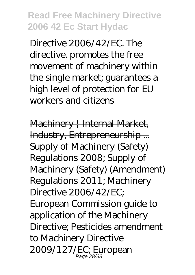Directive 2006/42/EC. The directive. promotes the free movement of machinery within the single market; guarantees a high level of protection for EU workers and citizens

Machinery | Internal Market, Industry, Entrepreneurship ... Supply of Machinery (Safety) Regulations 2008; Supply of Machinery (Safety) (Amendment) Regulations 2011; Machinery Directive 2006/42/EC; European Commission guide to application of the Machinery Directive; Pesticides amendment to Machinery Directive 2009/127/EC; European Page 28/33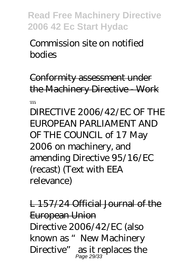Commission site on notified bodies

Conformity assessment under the Machinery Directive - Work

...

DIRECTIVE 2006/42/EC OF THE EUROPEAN PARLIAMENT AND OF THE COUNCIL of 17 May 2006 on machinery, and amending Directive 95/16/EC (recast) (Text with EEA relevance)

L 157/24 Official Journal of the European Union Directive 2006/42/EC (also known as "New Machinery Directive" as it replaces the Page 29/33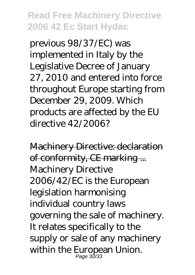previous 98/37/EC) was implemented in Italy by the Legislative Decree of January 27, 2010 and entered into force throughout Europe starting from December 29, 2009. Which products are affected by the EU directive 42/2006?

Machinery Directive: declaration of conformity, CE marking ... Machinery Directive 2006/42/EC is the European legislation harmonising individual country laws governing the sale of machinery. It relates specifically to the supply or sale of any machinery within the European Union. Page 30/33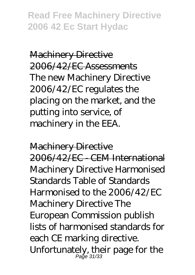Machinery Directive 2006/42/EC Assessments The new Machinery Directive 2006/42/EC regulates the placing on the market, and the putting into service, of machinery in the EEA.

Machinery Directive

2006/42/EC - CEM International Machinery Directive Harmonised Standards Table of Standards Harmonised to the 2006/42/EC Machinery Directive The European Commission publish lists of harmonised standards for each CE marking directive. Unfortunately, their page for the Page 31/33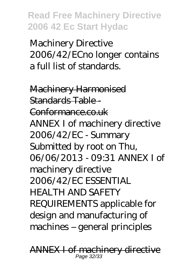Machinery Directive 2006/42/ECno longer contains a full list of standards.

Machinery Harmonised Standards Table - Conformance.co.uk ANNEX I of machinery directive 2006/42/EC - Summary Submitted by root on Thu, 06/06/2013 - 09:31 ANNEX I of machinery directive 2006/42/EC ESSENTIAL HEALTH AND SAFETY REQUIREMENTS applicable for design and manufacturing of machines – general principles

ANNEX I of machinery directive Page 32/33